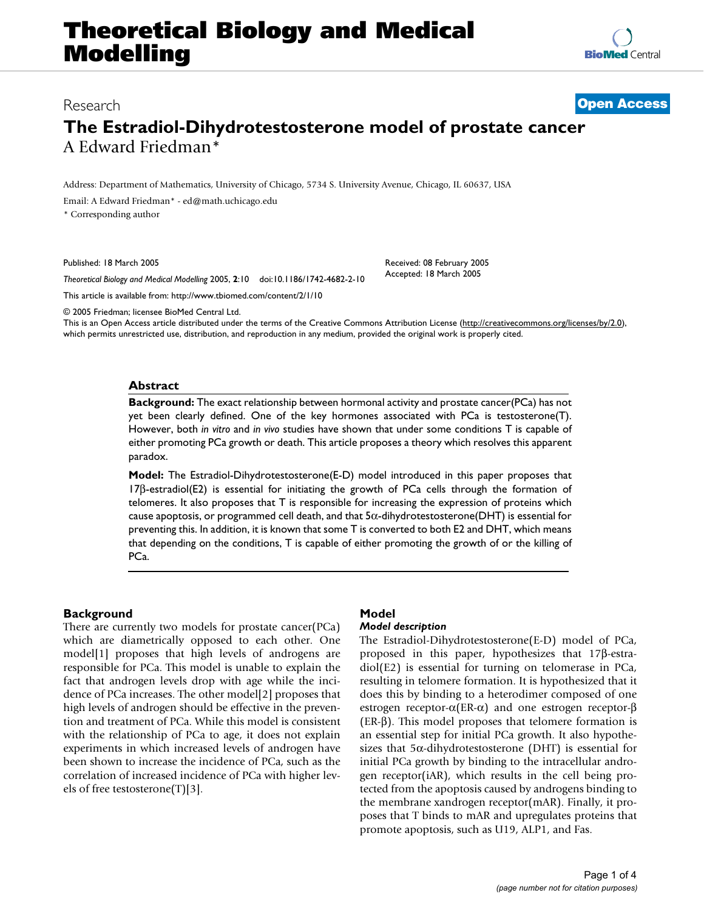# **Theoretical Biology and Medical Modelling**

**[BioMed](http://www.biomedcentral.com/)** Central

### Research **[Open Access](http://www.biomedcentral.com/info/about/charter/)**

## **The Estradiol-Dihydrotestosterone model of prostate cancer** A Edward Friedman\*

Address: Department of Mathematics, University of Chicago, 5734 S. University Avenue, Chicago, IL 60637, USA

Email: A Edward Friedman\* - ed@math.uchicago.edu

\* Corresponding author

Published: 18 March 2005

*Theoretical Biology and Medical Modelling* 2005, **2**:10 doi:10.1186/1742-4682-2-10

[This article is available from: http://www.tbiomed.com/content/2/1/10](http://www.tbiomed.com/content/2/1/10)

© 2005 Friedman; licensee BioMed Central Ltd.

This is an Open Access article distributed under the terms of the Creative Commons Attribution License [\(http://creativecommons.org/licenses/by/2.0\)](http://creativecommons.org/licenses/by/2.0), which permits unrestricted use, distribution, and reproduction in any medium, provided the original work is properly cited.

Received: 08 February 2005 Accepted: 18 March 2005

#### **Abstract**

**Background:** The exact relationship between hormonal activity and prostate cancer(PCa) has not yet been clearly defined. One of the key hormones associated with PCa is testosterone(T). However, both *in vitro* and *in vivo* studies have shown that under some conditions T is capable of either promoting PCa growth or death. This article proposes a theory which resolves this apparent paradox.

**Model:** The Estradiol-Dihydrotestosterone(E-D) model introduced in this paper proposes that 17β-estradiol(E2) is essential for initiating the growth of PCa cells through the formation of telomeres. It also proposes that T is responsible for increasing the expression of proteins which cause apoptosis, or programmed cell death, and that  $5\alpha$ -dihydrotestosterone(DHT) is essential for preventing this. In addition, it is known that some T is converted to both E2 and DHT, which means that depending on the conditions, T is capable of either promoting the growth of or the killing of PC<sub>a</sub>.

#### **Background**

There are currently two models for prostate cancer(PCa) which are diametrically opposed to each other. One model[1] proposes that high levels of androgens are responsible for PCa. This model is unable to explain the fact that androgen levels drop with age while the incidence of PCa increases. The other model[2] proposes that high levels of androgen should be effective in the prevention and treatment of PCa. While this model is consistent with the relationship of PCa to age, it does not explain experiments in which increased levels of androgen have been shown to increase the incidence of PCa, such as the correlation of increased incidence of PCa with higher levels of free testosterone(T)[3].

#### **Model** *Model description*

The Estradiol-Dihydrotestosterone(E-D) model of PCa, proposed in this paper, hypothesizes that 17β-estradiol(E2) is essential for turning on telomerase in PCa, resulting in telomere formation. It is hypothesized that it does this by binding to a heterodimer composed of one estrogen receptor-α(ER-α) and one estrogen receptor-β (ER-β). This model proposes that telomere formation is an essential step for initial PCa growth. It also hypothesizes that  $5\alpha$ -dihydrotestosterone (DHT) is essential for initial PCa growth by binding to the intracellular androgen receptor(iAR), which results in the cell being protected from the apoptosis caused by androgens binding to the membrane xandrogen receptor(mAR). Finally, it proposes that T binds to mAR and upregulates proteins that promote apoptosis, such as U19, ALP1, and Fas.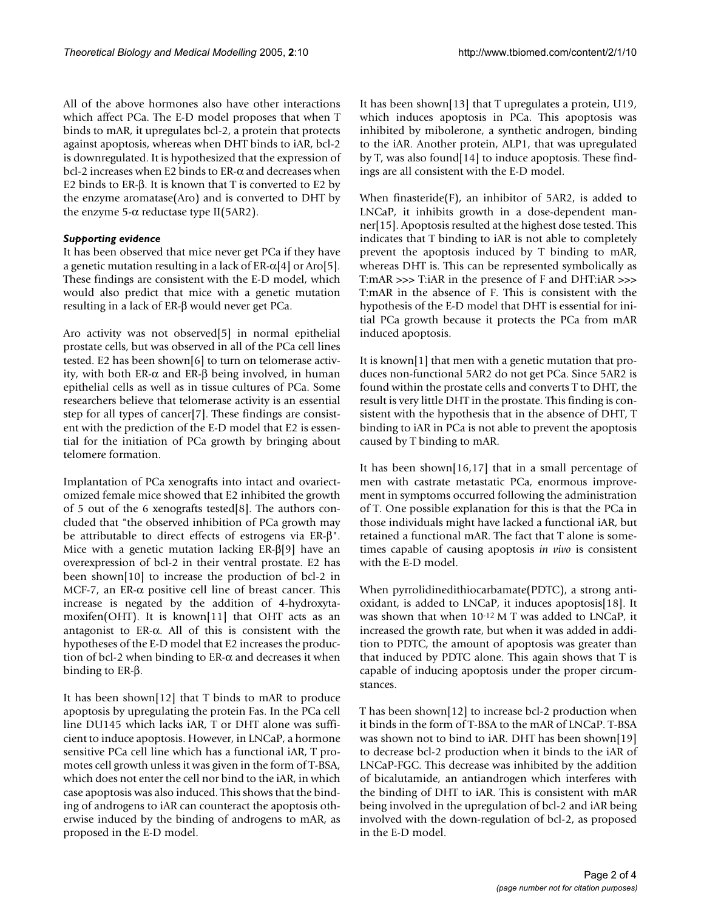All of the above hormones also have other interactions which affect PCa. The E-D model proposes that when T binds to mAR, it upregulates bcl-2, a protein that protects against apoptosis, whereas when DHT binds to iAR, bcl-2 is downregulated. It is hypothesized that the expression of bcl-2 increases when E2 binds to ER-α and decreases when E2 binds to ER-β. It is known that T is converted to E2 by the enzyme aromatase(Aro) and is converted to DHT by the enzyme 5- $\alpha$  reductase type II(5AR2).

#### *Supporting evidence*

It has been observed that mice never get PCa if they have a genetic mutation resulting in a lack of ER- $\alpha$ [4] or Aro[5]. These findings are consistent with the E-D model, which would also predict that mice with a genetic mutation resulting in a lack of ER-β would never get PCa.

Aro activity was not observed[5] in normal epithelial prostate cells, but was observed in all of the PCa cell lines tested. E2 has been shown[6] to turn on telomerase activity, with both ER-α and ER-β being involved, in human epithelial cells as well as in tissue cultures of PCa. Some researchers believe that telomerase activity is an essential step for all types of cancer[7]. These findings are consistent with the prediction of the E-D model that E2 is essential for the initiation of PCa growth by bringing about telomere formation.

Implantation of PCa xenografts into intact and ovariectomized female mice showed that E2 inhibited the growth of 5 out of the 6 xenografts tested[8]. The authors concluded that "the observed inhibition of PCa growth may be attributable to direct effects of estrogens via ER-β". Mice with a genetic mutation lacking ER-β[9] have an overexpression of bcl-2 in their ventral prostate. E2 has been shown[10] to increase the production of bcl-2 in MCF-7, an ER- $\alpha$  positive cell line of breast cancer. This increase is negated by the addition of 4-hydroxytamoxifen(OHT). It is known[11] that OHT acts as an antagonist to ER-α. All of this is consistent with the hypotheses of the E-D model that E2 increases the production of bcl-2 when binding to  $ER-\alpha$  and decreases it when binding to ER-β.

It has been shown[12] that T binds to mAR to produce apoptosis by upregulating the protein Fas. In the PCa cell line DU145 which lacks iAR, T or DHT alone was sufficient to induce apoptosis. However, in LNCaP, a hormone sensitive PCa cell line which has a functional iAR, T promotes cell growth unless it was given in the form of T-BSA, which does not enter the cell nor bind to the iAR, in which case apoptosis was also induced. This shows that the binding of androgens to iAR can counteract the apoptosis otherwise induced by the binding of androgens to mAR, as proposed in the E-D model.

It has been shown[13] that T upregulates a protein, U19, which induces apoptosis in PCa. This apoptosis was inhibited by mibolerone, a synthetic androgen, binding to the iAR. Another protein, ALP1, that was upregulated by T, was also found[14] to induce apoptosis. These findings are all consistent with the E-D model.

When finasteride(F), an inhibitor of 5AR2, is added to LNCaP, it inhibits growth in a dose-dependent manner[15]. Apoptosis resulted at the highest dose tested. This indicates that T binding to iAR is not able to completely prevent the apoptosis induced by T binding to mAR, whereas DHT is. This can be represented symbolically as T:mAR >>> T:iAR in the presence of F and DHT:iAR >>> T:mAR in the absence of F. This is consistent with the hypothesis of the E-D model that DHT is essential for initial PCa growth because it protects the PCa from mAR induced apoptosis.

It is known[1] that men with a genetic mutation that produces non-functional 5AR2 do not get PCa. Since 5AR2 is found within the prostate cells and converts T to DHT, the result is very little DHT in the prostate. This finding is consistent with the hypothesis that in the absence of DHT, T binding to iAR in PCa is not able to prevent the apoptosis caused by T binding to mAR.

It has been shown[16,17] that in a small percentage of men with castrate metastatic PCa, enormous improvement in symptoms occurred following the administration of T. One possible explanation for this is that the PCa in those individuals might have lacked a functional iAR, but retained a functional mAR. The fact that T alone is sometimes capable of causing apoptosis *in vivo* is consistent with the E-D model.

When pyrrolidinedithiocarbamate(PDTC), a strong antioxidant, is added to LNCaP, it induces apoptosis[18]. It was shown that when 10-12 M T was added to LNCaP, it increased the growth rate, but when it was added in addition to PDTC, the amount of apoptosis was greater than that induced by PDTC alone. This again shows that T is capable of inducing apoptosis under the proper circumstances.

T has been shown[12] to increase bcl-2 production when it binds in the form of T-BSA to the mAR of LNCaP. T-BSA was shown not to bind to iAR. DHT has been shown[19] to decrease bcl-2 production when it binds to the iAR of LNCaP-FGC. This decrease was inhibited by the addition of bicalutamide, an antiandrogen which interferes with the binding of DHT to iAR. This is consistent with mAR being involved in the upregulation of bcl-2 and iAR being involved with the down-regulation of bcl-2, as proposed in the E-D model.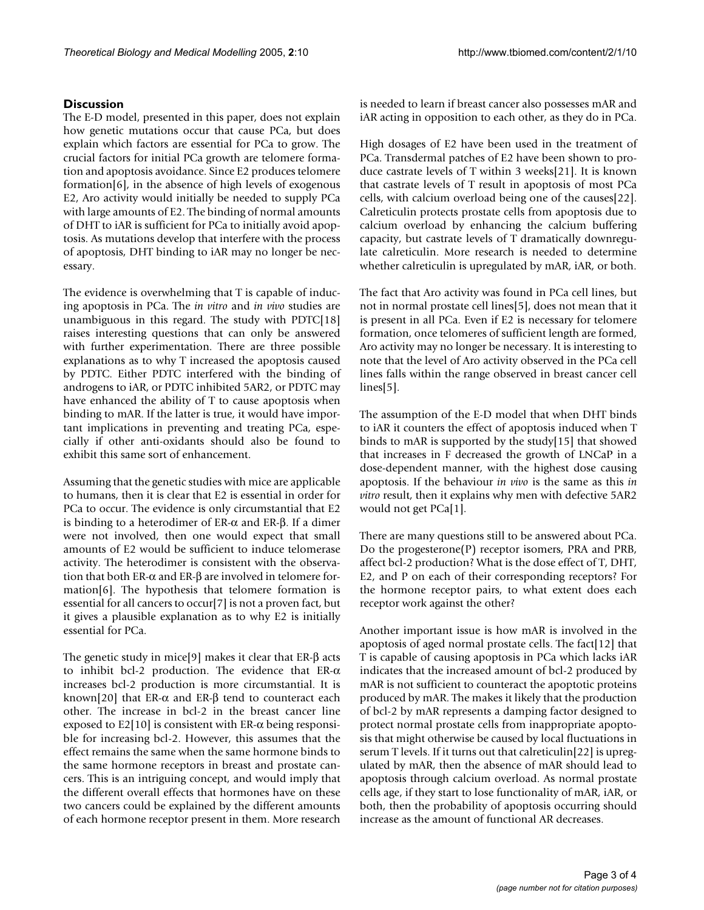#### **Discussion**

The E-D model, presented in this paper, does not explain how genetic mutations occur that cause PCa, but does explain which factors are essential for PCa to grow. The crucial factors for initial PCa growth are telomere formation and apoptosis avoidance. Since E2 produces telomere formation[6], in the absence of high levels of exogenous E2, Aro activity would initially be needed to supply PCa with large amounts of E2. The binding of normal amounts of DHT to iAR is sufficient for PCa to initially avoid apoptosis. As mutations develop that interfere with the process of apoptosis, DHT binding to iAR may no longer be necessary.

The evidence is overwhelming that T is capable of inducing apoptosis in PCa. The *in vitro* and *in vivo* studies are unambiguous in this regard. The study with PDTC[18] raises interesting questions that can only be answered with further experimentation. There are three possible explanations as to why T increased the apoptosis caused by PDTC. Either PDTC interfered with the binding of androgens to iAR, or PDTC inhibited 5AR2, or PDTC may have enhanced the ability of T to cause apoptosis when binding to mAR. If the latter is true, it would have important implications in preventing and treating PCa, especially if other anti-oxidants should also be found to exhibit this same sort of enhancement.

Assuming that the genetic studies with mice are applicable to humans, then it is clear that E2 is essential in order for PCa to occur. The evidence is only circumstantial that E2 is binding to a heterodimer of ER- $\alpha$  and ER- $\beta$ . If a dimer were not involved, then one would expect that small amounts of E2 would be sufficient to induce telomerase activity. The heterodimer is consistent with the observation that both ER-α and ER-β are involved in telomere formation[6]. The hypothesis that telomere formation is essential for all cancers to occur[7] is not a proven fact, but it gives a plausible explanation as to why E2 is initially essential for PCa.

The genetic study in mice[9] makes it clear that ER-β acts to inhibit bcl-2 production. The evidence that ER-α increases bcl-2 production is more circumstantial. It is known[20] that ER- $\alpha$  and ER- $\beta$  tend to counteract each other. The increase in bcl-2 in the breast cancer line exposed to E2[10] is consistent with ER- $\alpha$  being responsible for increasing bcl-2. However, this assumes that the effect remains the same when the same hormone binds to the same hormone receptors in breast and prostate cancers. This is an intriguing concept, and would imply that the different overall effects that hormones have on these two cancers could be explained by the different amounts of each hormone receptor present in them. More research is needed to learn if breast cancer also possesses mAR and iAR acting in opposition to each other, as they do in PCa.

High dosages of E2 have been used in the treatment of PCa. Transdermal patches of E2 have been shown to produce castrate levels of T within 3 weeks[21]. It is known that castrate levels of T result in apoptosis of most PCa cells, with calcium overload being one of the causes[22]. Calreticulin protects prostate cells from apoptosis due to calcium overload by enhancing the calcium buffering capacity, but castrate levels of T dramatically downregulate calreticulin. More research is needed to determine whether calreticulin is upregulated by mAR, iAR, or both.

The fact that Aro activity was found in PCa cell lines, but not in normal prostate cell lines[5], does not mean that it is present in all PCa. Even if E2 is necessary for telomere formation, once telomeres of sufficient length are formed, Aro activity may no longer be necessary. It is interesting to note that the level of Aro activity observed in the PCa cell lines falls within the range observed in breast cancer cell lines[5].

The assumption of the E-D model that when DHT binds to iAR it counters the effect of apoptosis induced when T binds to mAR is supported by the study[15] that showed that increases in F decreased the growth of LNCaP in a dose-dependent manner, with the highest dose causing apoptosis. If the behaviour *in vivo* is the same as this *in vitro* result, then it explains why men with defective 5AR2 would not get PCa[1].

There are many questions still to be answered about PCa. Do the progesterone(P) receptor isomers, PRA and PRB, affect bcl-2 production? What is the dose effect of T, DHT, E2, and P on each of their corresponding receptors? For the hormone receptor pairs, to what extent does each receptor work against the other?

Another important issue is how mAR is involved in the apoptosis of aged normal prostate cells. The fact[12] that T is capable of causing apoptosis in PCa which lacks iAR indicates that the increased amount of bcl-2 produced by mAR is not sufficient to counteract the apoptotic proteins produced by mAR. The makes it likely that the production of bcl-2 by mAR represents a damping factor designed to protect normal prostate cells from inappropriate apoptosis that might otherwise be caused by local fluctuations in serum T levels. If it turns out that calreticulin[22] is upregulated by mAR, then the absence of mAR should lead to apoptosis through calcium overload. As normal prostate cells age, if they start to lose functionality of mAR, iAR, or both, then the probability of apoptosis occurring should increase as the amount of functional AR decreases.